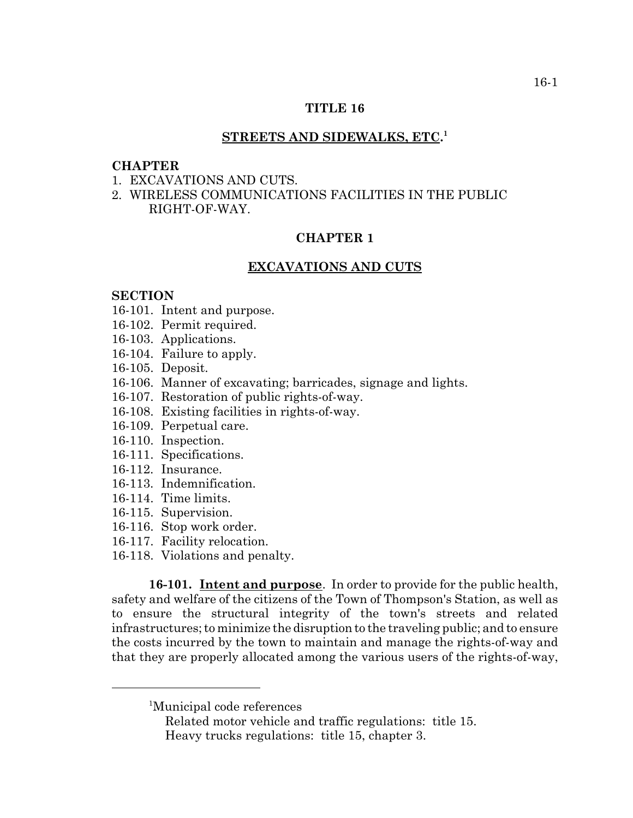# **TITLE 16**

# **STREETS AND SIDEWALKS, ETC. 1**

# **CHAPTER**

- 1. EXCAVATIONS AND CUTS.
- 2. WIRELESS COMMUNICATIONS FACILITIES IN THE PUBLIC RIGHT-OF-WAY.

# **CHAPTER 1**

#### **EXCAVATIONS AND CUTS**

#### **SECTION**

- 16-101. Intent and purpose.
- 16-102. Permit required.
- 16-103. Applications.
- 16-104. Failure to apply.
- 16-105. Deposit.
- 16-106. Manner of excavating; barricades, signage and lights.
- 16-107. Restoration of public rights-of-way.
- 16-108. Existing facilities in rights-of-way.
- 16-109. Perpetual care.
- 16-110. Inspection.
- 16-111. Specifications.
- 16-112. Insurance.
- 16-113. Indemnification.
- 16-114. Time limits.
- 16-115. Supervision.
- 16-116. Stop work order.
- 16-117. Facility relocation.
- 16-118. Violations and penalty.

**16-101. Intent and purpose**. In order to provide for the public health, safety and welfare of the citizens of the Town of Thompson's Station, as well as to ensure the structural integrity of the town's streets and related infrastructures; to minimize the disruption to the traveling public; and to ensure the costs incurred by the town to maintain and manage the rights-of-way and that they are properly allocated among the various users of the rights-of-way,

<sup>&</sup>lt;sup>1</sup>Municipal code references

Related motor vehicle and traffic regulations: title 15. Heavy trucks regulations: title 15, chapter 3.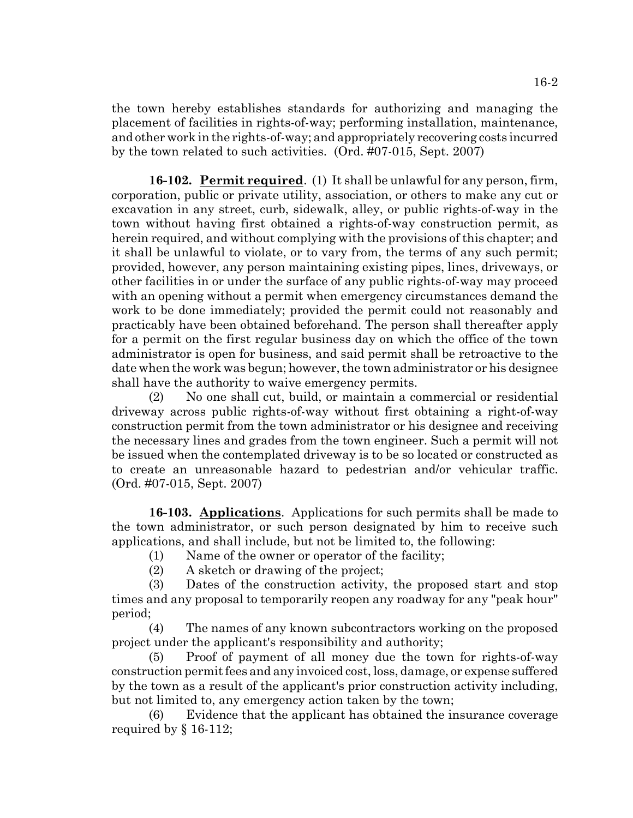the town hereby establishes standards for authorizing and managing the placement of facilities in rights-of-way; performing installation, maintenance, and other work in the rights-of-way; and appropriately recovering costs incurred by the town related to such activities. (Ord. #07-015, Sept. 2007)

**16-102. Permit required**. (1) It shall be unlawful for any person, firm, corporation, public or private utility, association, or others to make any cut or excavation in any street, curb, sidewalk, alley, or public rights-of-way in the town without having first obtained a rights-of-way construction permit, as herein required, and without complying with the provisions of this chapter; and it shall be unlawful to violate, or to vary from, the terms of any such permit; provided, however, any person maintaining existing pipes, lines, driveways, or other facilities in or under the surface of any public rights-of-way may proceed with an opening without a permit when emergency circumstances demand the work to be done immediately; provided the permit could not reasonably and practicably have been obtained beforehand. The person shall thereafter apply for a permit on the first regular business day on which the office of the town administrator is open for business, and said permit shall be retroactive to the date when the work was begun; however, the town administrator or his designee shall have the authority to waive emergency permits.

(2) No one shall cut, build, or maintain a commercial or residential driveway across public rights-of-way without first obtaining a right-of-way construction permit from the town administrator or his designee and receiving the necessary lines and grades from the town engineer. Such a permit will not be issued when the contemplated driveway is to be so located or constructed as to create an unreasonable hazard to pedestrian and/or vehicular traffic. (Ord. #07-015, Sept. 2007)

**16-103. Applications**. Applications for such permits shall be made to the town administrator, or such person designated by him to receive such applications, and shall include, but not be limited to, the following:

(1) Name of the owner or operator of the facility;

(2) A sketch or drawing of the project;

(3) Dates of the construction activity, the proposed start and stop times and any proposal to temporarily reopen any roadway for any "peak hour" period;

(4) The names of any known subcontractors working on the proposed project under the applicant's responsibility and authority;

(5) Proof of payment of all money due the town for rights-of-way construction permit fees and any invoiced cost, loss, damage, or expense suffered by the town as a result of the applicant's prior construction activity including, but not limited to, any emergency action taken by the town;

(6) Evidence that the applicant has obtained the insurance coverage required by § 16-112;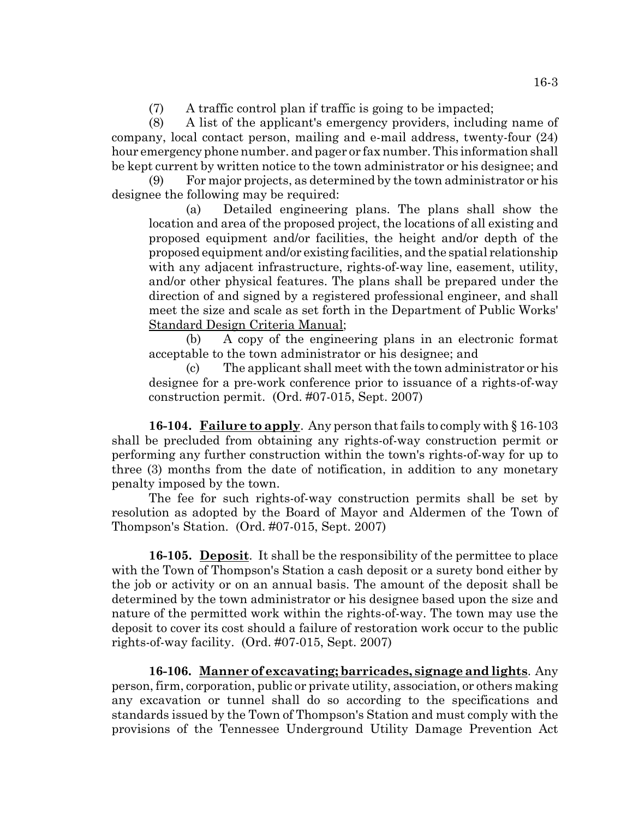(7) A traffic control plan if traffic is going to be impacted;

(8) A list of the applicant's emergency providers, including name of company, local contact person, mailing and e-mail address, twenty-four (24) hour emergency phone number. and pager or fax number. This information shall be kept current by written notice to the town administrator or his designee; and

(9) For major projects, as determined by the town administrator or his designee the following may be required:

(a) Detailed engineering plans. The plans shall show the location and area of the proposed project, the locations of all existing and proposed equipment and/or facilities, the height and/or depth of the proposed equipment and/or existing facilities, and the spatial relationship with any adjacent infrastructure, rights-of-way line, easement, utility, and/or other physical features. The plans shall be prepared under the direction of and signed by a registered professional engineer, and shall meet the size and scale as set forth in the Department of Public Works' Standard Design Criteria Manual;

(b) A copy of the engineering plans in an electronic format acceptable to the town administrator or his designee; and

(c) The applicant shall meet with the town administrator or his designee for a pre-work conference prior to issuance of a rights-of-way construction permit. (Ord. #07-015, Sept. 2007)

**16-104. Failure to apply**. Any person that fails to comply with § 16-103 shall be precluded from obtaining any rights-of-way construction permit or performing any further construction within the town's rights-of-way for up to three (3) months from the date of notification, in addition to any monetary penalty imposed by the town.

The fee for such rights-of-way construction permits shall be set by resolution as adopted by the Board of Mayor and Aldermen of the Town of Thompson's Station. (Ord. #07-015, Sept. 2007)

**16-105. Deposit**. It shall be the responsibility of the permittee to place with the Town of Thompson's Station a cash deposit or a surety bond either by the job or activity or on an annual basis. The amount of the deposit shall be determined by the town administrator or his designee based upon the size and nature of the permitted work within the rights-of-way. The town may use the deposit to cover its cost should a failure of restoration work occur to the public rights-of-way facility. (Ord. #07-015, Sept. 2007)

**16-106. Manner of excavating; barricades, signage and lights**. Any person, firm, corporation, public or private utility, association, or others making any excavation or tunnel shall do so according to the specifications and standards issued by the Town of Thompson's Station and must comply with the provisions of the Tennessee Underground Utility Damage Prevention Act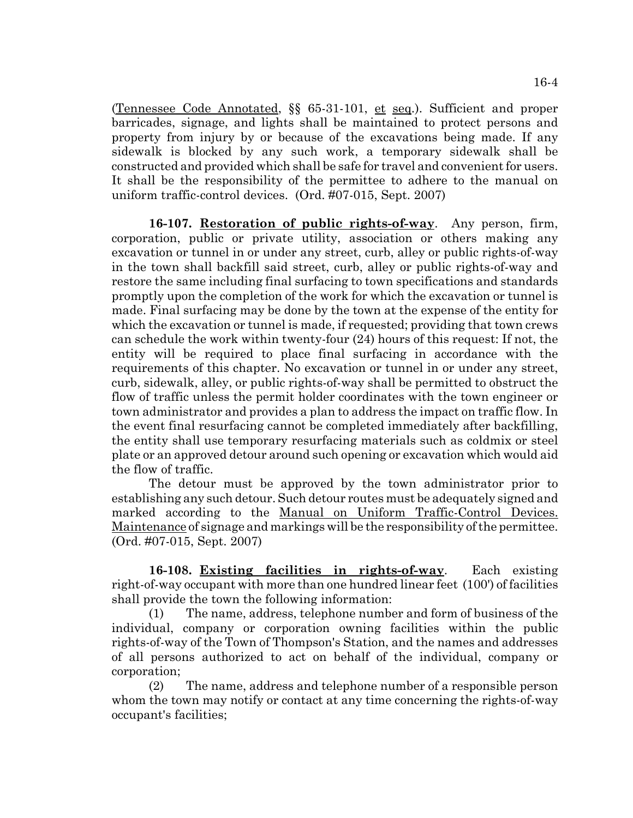(Tennessee Code Annotated, §§ 65-31-101, et seq.). Sufficient and proper barricades, signage, and lights shall be maintained to protect persons and property from injury by or because of the excavations being made. If any sidewalk is blocked by any such work, a temporary sidewalk shall be constructed and provided which shall be safe for travel and convenient for users. It shall be the responsibility of the permittee to adhere to the manual on uniform traffic-control devices. (Ord. #07-015, Sept. 2007)

**16-107. Restoration of public rights-of-way**. Any person, firm, corporation, public or private utility, association or others making any excavation or tunnel in or under any street, curb, alley or public rights-of-way in the town shall backfill said street, curb, alley or public rights-of-way and restore the same including final surfacing to town specifications and standards promptly upon the completion of the work for which the excavation or tunnel is made. Final surfacing may be done by the town at the expense of the entity for which the excavation or tunnel is made, if requested; providing that town crews can schedule the work within twenty-four (24) hours of this request: If not, the entity will be required to place final surfacing in accordance with the requirements of this chapter. No excavation or tunnel in or under any street, curb, sidewalk, alley, or public rights-of-way shall be permitted to obstruct the flow of traffic unless the permit holder coordinates with the town engineer or town administrator and provides a plan to address the impact on traffic flow. In the event final resurfacing cannot be completed immediately after backfilling, the entity shall use temporary resurfacing materials such as coldmix or steel plate or an approved detour around such opening or excavation which would aid the flow of traffic.

The detour must be approved by the town administrator prior to establishing any such detour. Such detour routes must be adequately signed and marked according to the Manual on Uniform Traffic-Control Devices. Maintenance of signage and markings will be the responsibility of the permittee. (Ord. #07-015, Sept. 2007)

**16-108. Existing facilities in rights-of-way**. Each existing right-of-way occupant with more than one hundred linear feet (100') of facilities shall provide the town the following information:

(1) The name, address, telephone number and form of business of the individual, company or corporation owning facilities within the public rights-of-way of the Town of Thompson's Station, and the names and addresses of all persons authorized to act on behalf of the individual, company or corporation;

(2) The name, address and telephone number of a responsible person whom the town may notify or contact at any time concerning the rights-of-way occupant's facilities;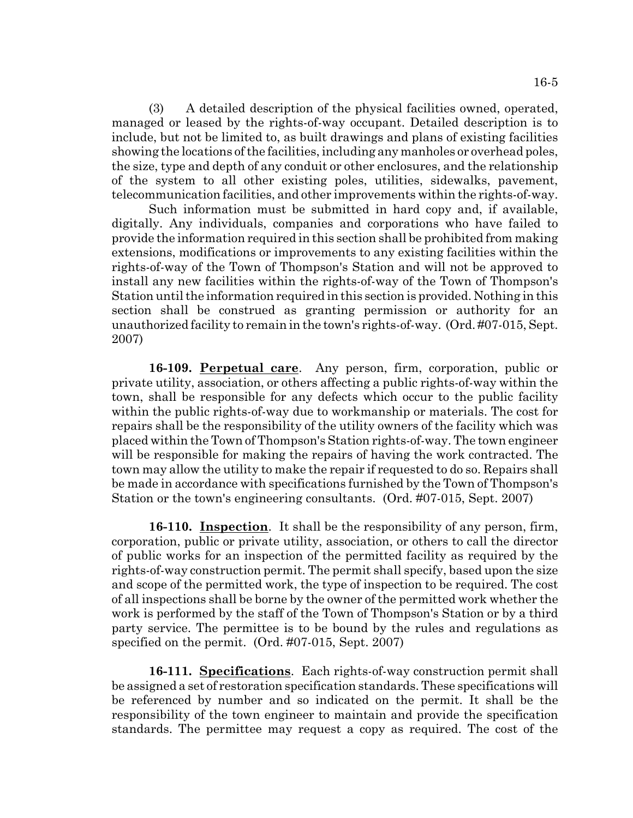(3) A detailed description of the physical facilities owned, operated, managed or leased by the rights-of-way occupant. Detailed description is to include, but not be limited to, as built drawings and plans of existing facilities showing the locations of the facilities, including any manholes or overhead poles, the size, type and depth of any conduit or other enclosures, and the relationship of the system to all other existing poles, utilities, sidewalks, pavement, telecommunication facilities, and other improvements within the rights-of-way.

Such information must be submitted in hard copy and, if available, digitally. Any individuals, companies and corporations who have failed to provide the information required in this section shall be prohibited from making extensions, modifications or improvements to any existing facilities within the rights-of-way of the Town of Thompson's Station and will not be approved to install any new facilities within the rights-of-way of the Town of Thompson's Station until the information required in this section is provided. Nothing in this section shall be construed as granting permission or authority for an unauthorized facility to remain in the town's rights-of-way. (Ord. #07-015, Sept. 2007)

**16-109. Perpetual care**. Any person, firm, corporation, public or private utility, association, or others affecting a public rights-of-way within the town, shall be responsible for any defects which occur to the public facility within the public rights-of-way due to workmanship or materials. The cost for repairs shall be the responsibility of the utility owners of the facility which was placed within the Town of Thompson's Station rights-of-way. The town engineer will be responsible for making the repairs of having the work contracted. The town may allow the utility to make the repair if requested to do so. Repairs shall be made in accordance with specifications furnished by the Town of Thompson's Station or the town's engineering consultants. (Ord. #07-015, Sept. 2007)

**16-110. Inspection**. It shall be the responsibility of any person, firm, corporation, public or private utility, association, or others to call the director of public works for an inspection of the permitted facility as required by the rights-of-way construction permit. The permit shall specify, based upon the size and scope of the permitted work, the type of inspection to be required. The cost of all inspections shall be borne by the owner of the permitted work whether the work is performed by the staff of the Town of Thompson's Station or by a third party service. The permittee is to be bound by the rules and regulations as specified on the permit. (Ord. #07-015, Sept. 2007)

**16-111. Specifications**. Each rights-of-way construction permit shall be assigned a set of restoration specification standards. These specifications will be referenced by number and so indicated on the permit. It shall be the responsibility of the town engineer to maintain and provide the specification standards. The permittee may request a copy as required. The cost of the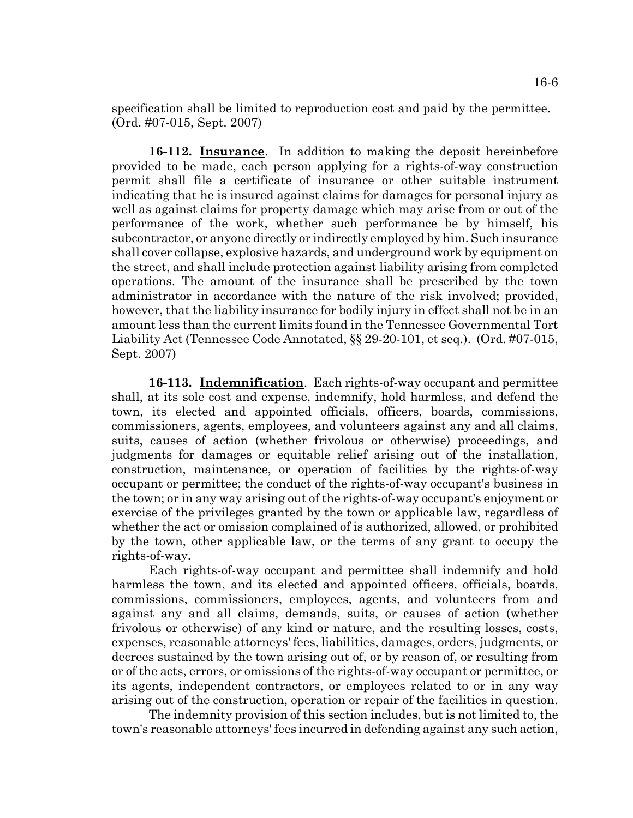specification shall be limited to reproduction cost and paid by the permittee. (Ord. #07-015, Sept. 2007)

**16-112. Insurance**. In addition to making the deposit hereinbefore provided to be made, each person applying for a rights-of-way construction permit shall file a certificate of insurance or other suitable instrument indicating that he is insured against claims for damages for personal injury as well as against claims for property damage which may arise from or out of the performance of the work, whether such performance be by himself, his subcontractor, or anyone directly or indirectly employed by him. Such insurance shall cover collapse, explosive hazards, and underground work by equipment on the street, and shall include protection against liability arising from completed operations. The amount of the insurance shall be prescribed by the town administrator in accordance with the nature of the risk involved; provided, however, that the liability insurance for bodily injury in effect shall not be in an amount less than the current limits found in the Tennessee Governmental Tort Liability Act (Tennessee Code Annotated, §§ 29-20-101, et seq.). (Ord. #07-015, Sept. 2007)

**16-113. Indemnification**. Each rights-of-way occupant and permittee shall, at its sole cost and expense, indemnify, hold harmless, and defend the town, its elected and appointed officials, officers, boards, commissions, commissioners, agents, employees, and volunteers against any and all claims, suits, causes of action (whether frivolous or otherwise) proceedings, and judgments for damages or equitable relief arising out of the installation, construction, maintenance, or operation of facilities by the rights-of-way occupant or permittee; the conduct of the rights-of-way occupant's business in the town; or in any way arising out of the rights-of-way occupant's enjoyment or exercise of the privileges granted by the town or applicable law, regardless of whether the act or omission complained of is authorized, allowed, or prohibited by the town, other applicable law, or the terms of any grant to occupy the rights-of-way.

Each rights-of-way occupant and permittee shall indemnify and hold harmless the town, and its elected and appointed officers, officials, boards, commissions, commissioners, employees, agents, and volunteers from and against any and all claims, demands, suits, or causes of action (whether frivolous or otherwise) of any kind or nature, and the resulting losses, costs, expenses, reasonable attorneys' fees, liabilities, damages, orders, judgments, or decrees sustained by the town arising out of, or by reason of, or resulting from or of the acts, errors, or omissions of the rights-of-way occupant or permittee, or its agents, independent contractors, or employees related to or in any way arising out of the construction, operation or repair of the facilities in question.

The indemnity provision of this section includes, but is not limited to, the town's reasonable attorneys' fees incurred in defending against any such action,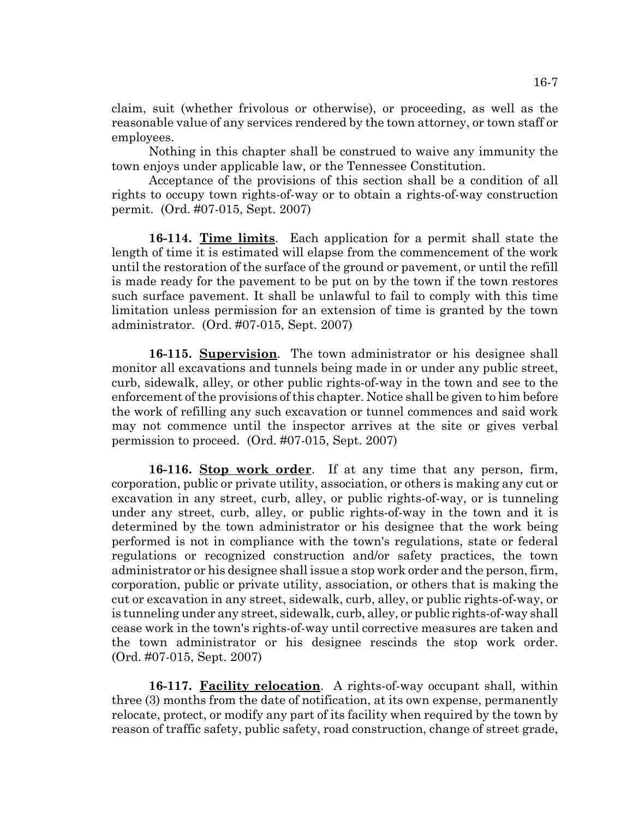claim, suit (whether frivolous or otherwise), or proceeding, as well as the reasonable value of any services rendered by the town attorney, or town staff or employees.

Nothing in this chapter shall be construed to waive any immunity the town enjoys under applicable law, or the Tennessee Constitution.

Acceptance of the provisions of this section shall be a condition of all rights to occupy town rights-of-way or to obtain a rights-of-way construction permit. (Ord. #07-015, Sept. 2007)

**16-114. Time limits**. Each application for a permit shall state the length of time it is estimated will elapse from the commencement of the work until the restoration of the surface of the ground or pavement, or until the refill is made ready for the pavement to be put on by the town if the town restores such surface pavement. It shall be unlawful to fail to comply with this time limitation unless permission for an extension of time is granted by the town administrator. (Ord. #07-015, Sept. 2007)

**16-115. Supervision**. The town administrator or his designee shall monitor all excavations and tunnels being made in or under any public street, curb, sidewalk, alley, or other public rights-of-way in the town and see to the enforcement of the provisions of this chapter. Notice shall be given to him before the work of refilling any such excavation or tunnel commences and said work may not commence until the inspector arrives at the site or gives verbal permission to proceed. (Ord. #07-015, Sept. 2007)

**16-116. Stop work order**. If at any time that any person, firm, corporation, public or private utility, association, or others is making any cut or excavation in any street, curb, alley, or public rights-of-way, or is tunneling under any street, curb, alley, or public rights-of-way in the town and it is determined by the town administrator or his designee that the work being performed is not in compliance with the town's regulations, state or federal regulations or recognized construction and/or safety practices, the town administrator or his designee shall issue a stop work order and the person, firm, corporation, public or private utility, association, or others that is making the cut or excavation in any street, sidewalk, curb, alley, or public rights-of-way, or is tunneling under any street, sidewalk, curb, alley, or public rights-of-way shall cease work in the town's rights-of-way until corrective measures are taken and the town administrator or his designee rescinds the stop work order. (Ord. #07-015, Sept. 2007)

**16-117. Facility relocation**. A rights-of-way occupant shall, within three (3) months from the date of notification, at its own expense, permanently relocate, protect, or modify any part of its facility when required by the town by reason of traffic safety, public safety, road construction, change of street grade,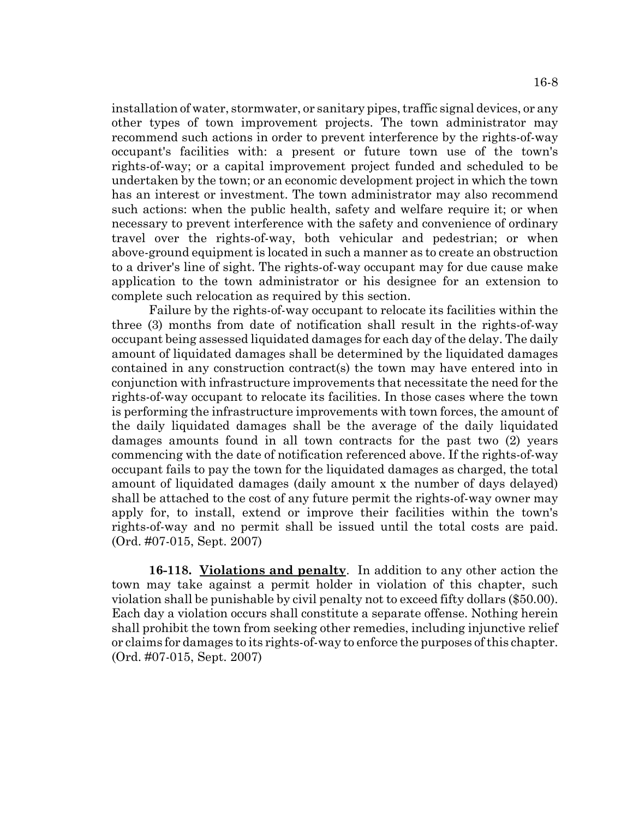installation of water, stormwater, or sanitary pipes, traffic signal devices, or any other types of town improvement projects. The town administrator may recommend such actions in order to prevent interference by the rights-of-way occupant's facilities with: a present or future town use of the town's rights-of-way; or a capital improvement project funded and scheduled to be undertaken by the town; or an economic development project in which the town has an interest or investment. The town administrator may also recommend such actions: when the public health, safety and welfare require it; or when necessary to prevent interference with the safety and convenience of ordinary travel over the rights-of-way, both vehicular and pedestrian; or when above-ground equipment is located in such a manner as to create an obstruction to a driver's line of sight. The rights-of-way occupant may for due cause make application to the town administrator or his designee for an extension to complete such relocation as required by this section.

Failure by the rights-of-way occupant to relocate its facilities within the three (3) months from date of notification shall result in the rights-of-way occupant being assessed liquidated damages for each day of the delay. The daily amount of liquidated damages shall be determined by the liquidated damages contained in any construction contract(s) the town may have entered into in conjunction with infrastructure improvements that necessitate the need for the rights-of-way occupant to relocate its facilities. In those cases where the town is performing the infrastructure improvements with town forces, the amount of the daily liquidated damages shall be the average of the daily liquidated damages amounts found in all town contracts for the past two (2) years commencing with the date of notification referenced above. If the rights-of-way occupant fails to pay the town for the liquidated damages as charged, the total amount of liquidated damages (daily amount x the number of days delayed) shall be attached to the cost of any future permit the rights-of-way owner may apply for, to install, extend or improve their facilities within the town's rights-of-way and no permit shall be issued until the total costs are paid. (Ord. #07-015, Sept. 2007)

**16-118. Violations and penalty**. In addition to any other action the town may take against a permit holder in violation of this chapter, such violation shall be punishable by civil penalty not to exceed fifty dollars (\$50.00). Each day a violation occurs shall constitute a separate offense. Nothing herein shall prohibit the town from seeking other remedies, including injunctive relief or claims for damages to its rights-of-way to enforce the purposes of this chapter. (Ord. #07-015, Sept. 2007)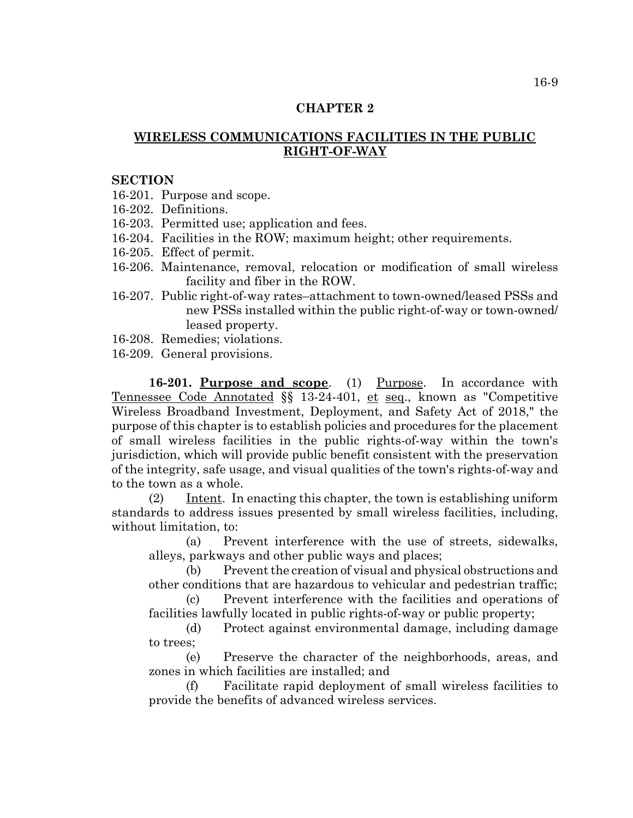# **CHAPTER 2**

# **WIRELESS COMMUNICATIONS FACILITIES IN THE PUBLIC RIGHT-OF-WAY**

#### **SECTION**

16-201. Purpose and scope.

- 16-202. Definitions.
- 16-203. Permitted use; application and fees.
- 16-204. Facilities in the ROW; maximum height; other requirements.
- 16-205. Effect of permit.
- 16-206. Maintenance, removal, relocation or modification of small wireless facility and fiber in the ROW.
- 16-207. Public right-of-way rates–attachment to town-owned/leased PSSs and new PSSs installed within the public right-of-way or town-owned/ leased property.
- 16-208. Remedies; violations.
- 16-209. General provisions.

16-201. Purpose and scope. (1) Purpose. In accordance with Tennessee Code Annotated §§ 13-24-401, et seq., known as "Competitive Wireless Broadband Investment, Deployment, and Safety Act of 2018," the purpose of this chapter is to establish policies and procedures for the placement of small wireless facilities in the public rights-of-way within the town's jurisdiction, which will provide public benefit consistent with the preservation of the integrity, safe usage, and visual qualities of the town's rights-of-way and to the town as a whole.

(2) Intent. In enacting this chapter, the town is establishing uniform standards to address issues presented by small wireless facilities, including, without limitation, to:

(a) Prevent interference with the use of streets, sidewalks, alleys, parkways and other public ways and places;

(b) Prevent the creation of visual and physical obstructions and other conditions that are hazardous to vehicular and pedestrian traffic;

(c) Prevent interference with the facilities and operations of facilities lawfully located in public rights-of-way or public property;

(d) Protect against environmental damage, including damage to trees;

(e) Preserve the character of the neighborhoods, areas, and zones in which facilities are installed; and

(f) Facilitate rapid deployment of small wireless facilities to provide the benefits of advanced wireless services.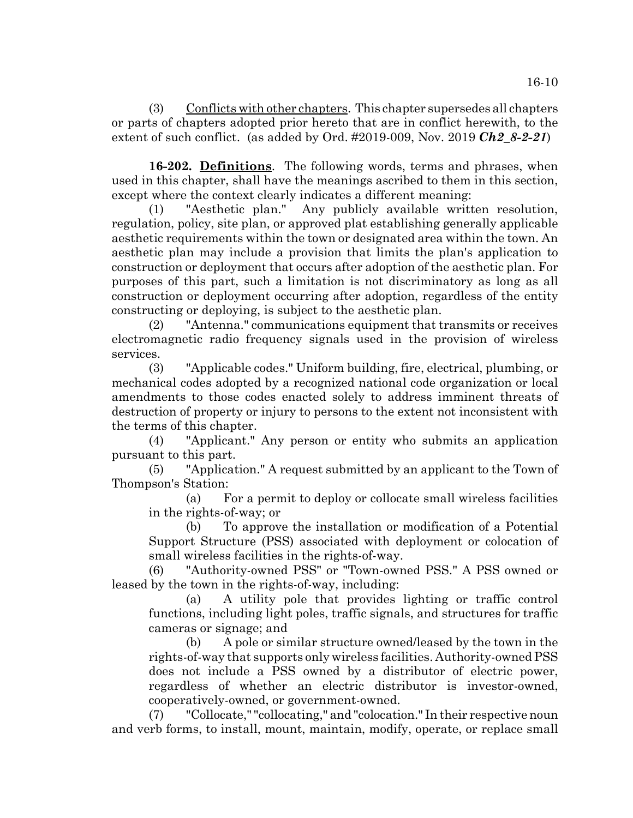(3) Conflicts with other chapters. This chapter supersedes all chapters or parts of chapters adopted prior hereto that are in conflict herewith, to the extent of such conflict. (as added by Ord. #2019-009, Nov. 2019 *Ch2\_8-2-21*)

**16-202. Definitions**. The following words, terms and phrases, when used in this chapter, shall have the meanings ascribed to them in this section, except where the context clearly indicates a different meaning:

(1) "Aesthetic plan." Any publicly available written resolution, regulation, policy, site plan, or approved plat establishing generally applicable aesthetic requirements within the town or designated area within the town. An aesthetic plan may include a provision that limits the plan's application to construction or deployment that occurs after adoption of the aesthetic plan. For purposes of this part, such a limitation is not discriminatory as long as all construction or deployment occurring after adoption, regardless of the entity constructing or deploying, is subject to the aesthetic plan.

(2) "Antenna." communications equipment that transmits or receives electromagnetic radio frequency signals used in the provision of wireless services.

(3) "Applicable codes." Uniform building, fire, electrical, plumbing, or mechanical codes adopted by a recognized national code organization or local amendments to those codes enacted solely to address imminent threats of destruction of property or injury to persons to the extent not inconsistent with the terms of this chapter.

(4) "Applicant." Any person or entity who submits an application pursuant to this part.

(5) "Application." A request submitted by an applicant to the Town of Thompson's Station:

(a) For a permit to deploy or collocate small wireless facilities in the rights-of-way; or

(b) To approve the installation or modification of a Potential Support Structure (PSS) associated with deployment or colocation of small wireless facilities in the rights-of-way.

(6) "Authority-owned PSS" or "Town-owned PSS." A PSS owned or leased by the town in the rights-of-way, including:

(a) A utility pole that provides lighting or traffic control functions, including light poles, traffic signals, and structures for traffic cameras or signage; and

(b) A pole or similar structure owned/leased by the town in the rights-of-way that supports only wireless facilities. Authority-owned PSS does not include a PSS owned by a distributor of electric power, regardless of whether an electric distributor is investor-owned, cooperatively-owned, or government-owned.

(7) "Collocate," "collocating," and "colocation." In their respective noun and verb forms, to install, mount, maintain, modify, operate, or replace small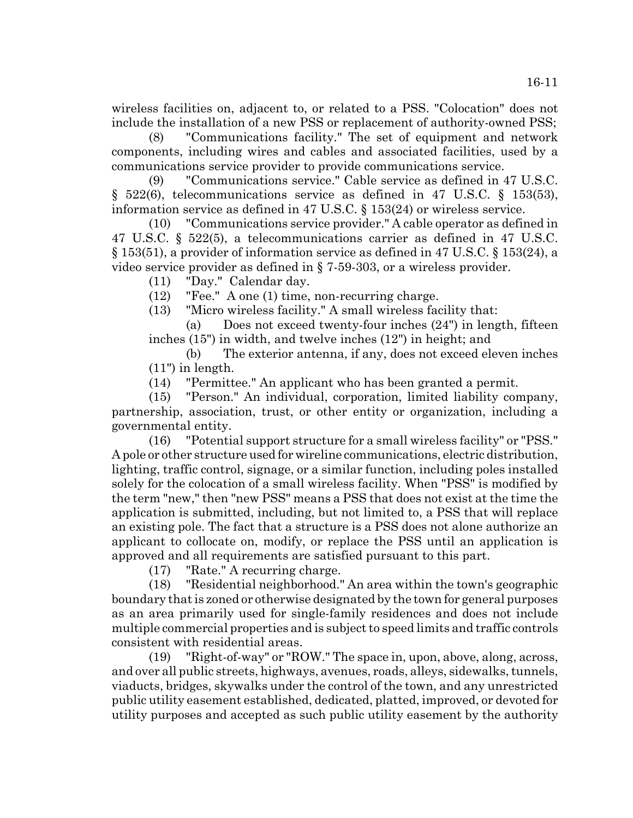wireless facilities on, adjacent to, or related to a PSS. "Colocation" does not include the installation of a new PSS or replacement of authority-owned PSS;

(8) "Communications facility." The set of equipment and network components, including wires and cables and associated facilities, used by a communications service provider to provide communications service.

(9) "Communications service." Cable service as defined in 47 U.S.C. § 522(6), telecommunications service as defined in 47 U.S.C. § 153(53), information service as defined in 47 U.S.C. § 153(24) or wireless service.

(10) "Communications service provider." A cable operator as defined in 47 U.S.C. § 522(5), a telecommunications carrier as defined in 47 U.S.C. § 153(51), a provider of information service as defined in 47 U.S.C. § 153(24), a video service provider as defined in § 7-59-303, or a wireless provider.

(11) "Day." Calendar day.

(12) "Fee." A one (1) time, non-recurring charge.

(13) "Micro wireless facility." A small wireless facility that:

(a) Does not exceed twenty-four inches (24") in length, fifteen inches (15") in width, and twelve inches (12") in height; and

(b) The exterior antenna, if any, does not exceed eleven inches (11") in length.

(14) "Permittee." An applicant who has been granted a permit.

(15) "Person." An individual, corporation, limited liability company, partnership, association, trust, or other entity or organization, including a governmental entity.

(16) "Potential support structure for a small wireless facility" or "PSS." A pole or other structure used for wireline communications, electric distribution, lighting, traffic control, signage, or a similar function, including poles installed solely for the colocation of a small wireless facility. When "PSS" is modified by the term "new," then "new PSS" means a PSS that does not exist at the time the application is submitted, including, but not limited to, a PSS that will replace an existing pole. The fact that a structure is a PSS does not alone authorize an applicant to collocate on, modify, or replace the PSS until an application is approved and all requirements are satisfied pursuant to this part.

(17) "Rate." A recurring charge.

(18) "Residential neighborhood." An area within the town's geographic boundary that is zoned or otherwise designated by the town for general purposes as an area primarily used for single-family residences and does not include multiple commercial properties and is subject to speed limits and traffic controls consistent with residential areas.

(19) "Right-of-way" or "ROW." The space in, upon, above, along, across, and over all public streets, highways, avenues, roads, alleys, sidewalks, tunnels, viaducts, bridges, skywalks under the control of the town, and any unrestricted public utility easement established, dedicated, platted, improved, or devoted for utility purposes and accepted as such public utility easement by the authority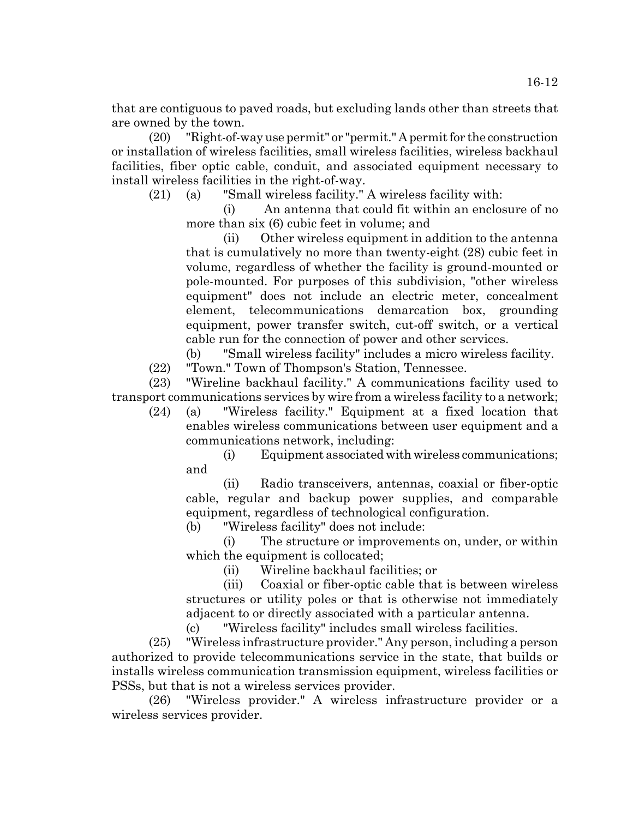that are contiguous to paved roads, but excluding lands other than streets that are owned by the town.

(20) "Right-of-way use permit" or "permit." A permit for the construction or installation of wireless facilities, small wireless facilities, wireless backhaul facilities, fiber optic cable, conduit, and associated equipment necessary to install wireless facilities in the right-of-way.

(21) (a) "Small wireless facility." A wireless facility with:

(i) An antenna that could fit within an enclosure of no more than six (6) cubic feet in volume; and

(ii) Other wireless equipment in addition to the antenna that is cumulatively no more than twenty-eight (28) cubic feet in volume, regardless of whether the facility is ground-mounted or pole-mounted. For purposes of this subdivision, "other wireless equipment" does not include an electric meter, concealment element, telecommunications demarcation box, grounding equipment, power transfer switch, cut-off switch, or a vertical cable run for the connection of power and other services.

(b) "Small wireless facility" includes a micro wireless facility.

(22) "Town." Town of Thompson's Station, Tennessee.

(23) "Wireline backhaul facility." A communications facility used to transport communications services by wire from a wireless facility to a network;

(24) (a) "Wireless facility." Equipment at a fixed location that enables wireless communications between user equipment and a communications network, including:

(i) Equipment associated with wireless communications; and

(ii) Radio transceivers, antennas, coaxial or fiber-optic cable, regular and backup power supplies, and comparable equipment, regardless of technological configuration.

(b) "Wireless facility" does not include:

(i) The structure or improvements on, under, or within which the equipment is collocated;

(ii) Wireline backhaul facilities; or

(iii) Coaxial or fiber-optic cable that is between wireless structures or utility poles or that is otherwise not immediately adjacent to or directly associated with a particular antenna.

(c) "Wireless facility" includes small wireless facilities.

(25) "Wireless infrastructure provider." Any person, including a person authorized to provide telecommunications service in the state, that builds or installs wireless communication transmission equipment, wireless facilities or PSSs, but that is not a wireless services provider.

(26) "Wireless provider." A wireless infrastructure provider or a wireless services provider.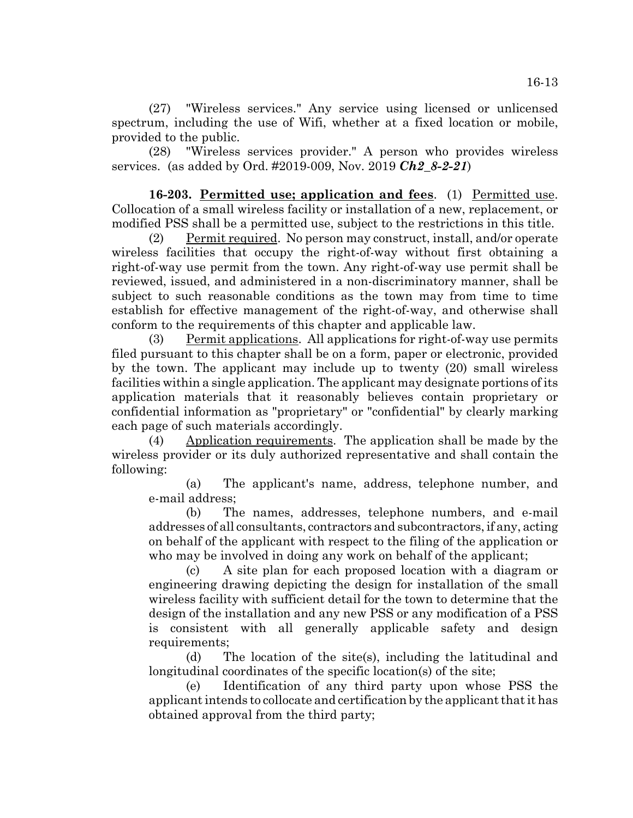(27) "Wireless services." Any service using licensed or unlicensed spectrum, including the use of Wifi, whether at a fixed location or mobile, provided to the public.

(28) "Wireless services provider." A person who provides wireless services. (as added by Ord. #2019-009, Nov. 2019 *Ch2\_8-2-21*)

**16-203. Permitted use; application and fees**. (1) Permitted use. Collocation of a small wireless facility or installation of a new, replacement, or modified PSS shall be a permitted use, subject to the restrictions in this title.

(2) Permit required. No person may construct, install, and/or operate wireless facilities that occupy the right-of-way without first obtaining a right-of-way use permit from the town. Any right-of-way use permit shall be reviewed, issued, and administered in a non-discriminatory manner, shall be subject to such reasonable conditions as the town may from time to time establish for effective management of the right-of-way, and otherwise shall conform to the requirements of this chapter and applicable law.

(3) Permit applications. All applications for right-of-way use permits filed pursuant to this chapter shall be on a form, paper or electronic, provided by the town. The applicant may include up to twenty (20) small wireless facilities within a single application. The applicant may designate portions of its application materials that it reasonably believes contain proprietary or confidential information as "proprietary" or "confidential" by clearly marking each page of such materials accordingly.

(4) Application requirements. The application shall be made by the wireless provider or its duly authorized representative and shall contain the following:

(a) The applicant's name, address, telephone number, and e-mail address;

(b) The names, addresses, telephone numbers, and e-mail addresses of all consultants, contractors and subcontractors, if any, acting on behalf of the applicant with respect to the filing of the application or who may be involved in doing any work on behalf of the applicant;

(c) A site plan for each proposed location with a diagram or engineering drawing depicting the design for installation of the small wireless facility with sufficient detail for the town to determine that the design of the installation and any new PSS or any modification of a PSS is consistent with all generally applicable safety and design requirements;

(d) The location of the site(s), including the latitudinal and longitudinal coordinates of the specific location(s) of the site;

(e) Identification of any third party upon whose PSS the applicant intends to collocate and certification by the applicant that it has obtained approval from the third party;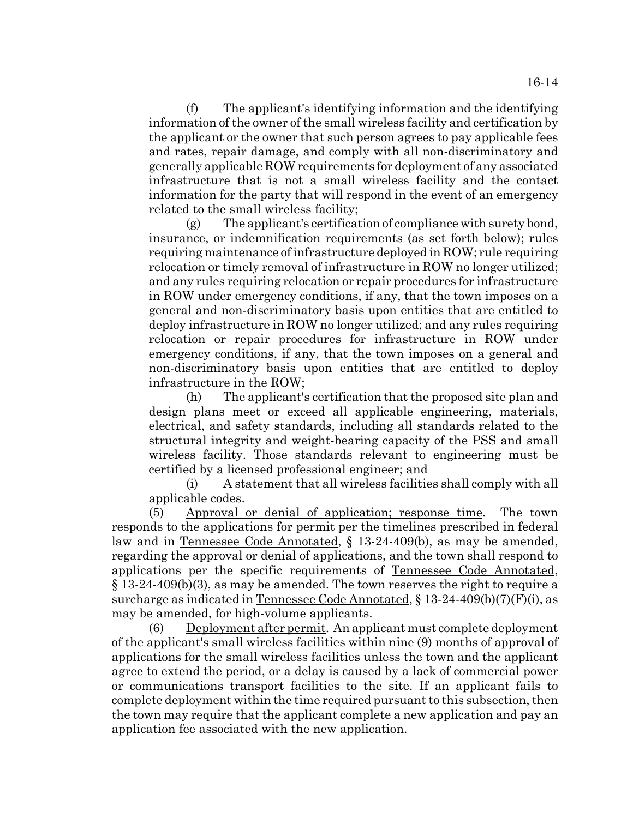(f) The applicant's identifying information and the identifying information of the owner of the small wireless facility and certification by the applicant or the owner that such person agrees to pay applicable fees and rates, repair damage, and comply with all non-discriminatory and generally applicable ROW requirements for deployment of any associated infrastructure that is not a small wireless facility and the contact information for the party that will respond in the event of an emergency related to the small wireless facility;

(g) The applicant's certification of compliance with surety bond, insurance, or indemnification requirements (as set forth below); rules requiring maintenance of infrastructure deployed in ROW; rule requiring relocation or timely removal of infrastructure in ROW no longer utilized; and any rules requiring relocation or repair procedures for infrastructure in ROW under emergency conditions, if any, that the town imposes on a general and non-discriminatory basis upon entities that are entitled to deploy infrastructure in ROW no longer utilized; and any rules requiring relocation or repair procedures for infrastructure in ROW under emergency conditions, if any, that the town imposes on a general and non-discriminatory basis upon entities that are entitled to deploy infrastructure in the ROW;

(h) The applicant's certification that the proposed site plan and design plans meet or exceed all applicable engineering, materials, electrical, and safety standards, including all standards related to the structural integrity and weight-bearing capacity of the PSS and small wireless facility. Those standards relevant to engineering must be certified by a licensed professional engineer; and

(i) A statement that all wireless facilities shall comply with all applicable codes.

(5) Approval or denial of application; response time. The town responds to the applications for permit per the timelines prescribed in federal law and in Tennessee Code Annotated, § 13-24-409(b), as may be amended, regarding the approval or denial of applications, and the town shall respond to applications per the specific requirements of Tennessee Code Annotated, § 13-24-409(b)(3), as may be amended. The town reserves the right to require a surcharge as indicated in Tennessee Code Annotated,  $\S 13-24-409(b)(7)(F)(i)$ , as may be amended, for high-volume applicants.

(6) Deployment after permit. An applicant must complete deployment of the applicant's small wireless facilities within nine (9) months of approval of applications for the small wireless facilities unless the town and the applicant agree to extend the period, or a delay is caused by a lack of commercial power or communications transport facilities to the site. If an applicant fails to complete deployment within the time required pursuant to this subsection, then the town may require that the applicant complete a new application and pay an application fee associated with the new application.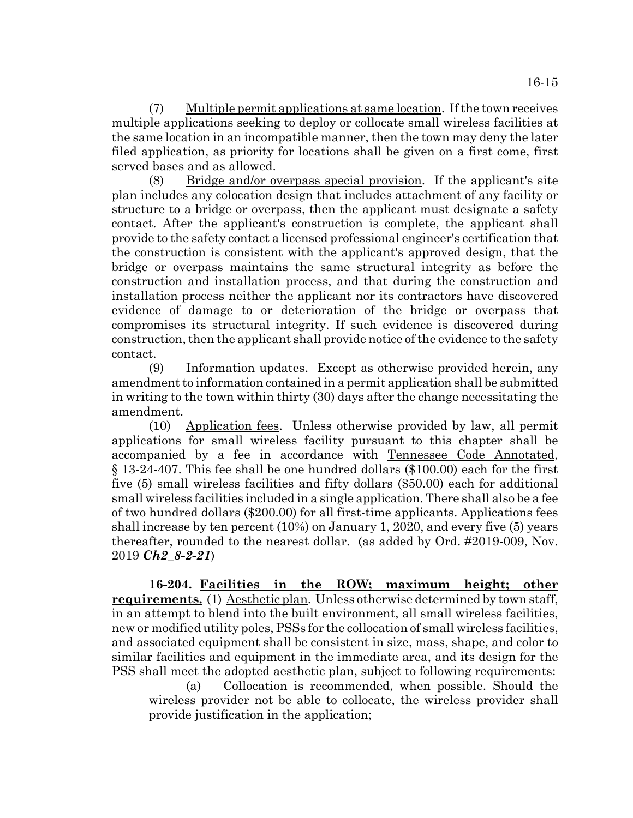(7) Multiple permit applications at same location. If the town receives multiple applications seeking to deploy or collocate small wireless facilities at the same location in an incompatible manner, then the town may deny the later filed application, as priority for locations shall be given on a first come, first served bases and as allowed.

(8) Bridge and/or overpass special provision. If the applicant's site plan includes any colocation design that includes attachment of any facility or structure to a bridge or overpass, then the applicant must designate a safety contact. After the applicant's construction is complete, the applicant shall provide to the safety contact a licensed professional engineer's certification that the construction is consistent with the applicant's approved design, that the bridge or overpass maintains the same structural integrity as before the construction and installation process, and that during the construction and installation process neither the applicant nor its contractors have discovered evidence of damage to or deterioration of the bridge or overpass that compromises its structural integrity. If such evidence is discovered during construction, then the applicant shall provide notice of the evidence to the safety contact.

(9) Information updates. Except as otherwise provided herein, any amendment to information contained in a permit application shall be submitted in writing to the town within thirty (30) days after the change necessitating the amendment.

(10) Application fees. Unless otherwise provided by law, all permit applications for small wireless facility pursuant to this chapter shall be accompanied by a fee in accordance with Tennessee Code Annotated, § 13-24-407. This fee shall be one hundred dollars (\$100.00) each for the first five (5) small wireless facilities and fifty dollars (\$50.00) each for additional small wireless facilities included in a single application. There shall also be a fee of two hundred dollars (\$200.00) for all first-time applicants. Applications fees shall increase by ten percent (10%) on January 1, 2020, and every five (5) years thereafter, rounded to the nearest dollar. (as added by Ord. #2019-009, Nov. 2019 *Ch2\_8-2-21*)

**16-204. Facilities in the ROW; maximum height; other requirements.** (1) Aesthetic plan. Unless otherwise determined by town staff, in an attempt to blend into the built environment, all small wireless facilities, new or modified utility poles, PSSs for the collocation of small wireless facilities, and associated equipment shall be consistent in size, mass, shape, and color to similar facilities and equipment in the immediate area, and its design for the PSS shall meet the adopted aesthetic plan, subject to following requirements:

(a) Collocation is recommended, when possible. Should the wireless provider not be able to collocate, the wireless provider shall provide justification in the application;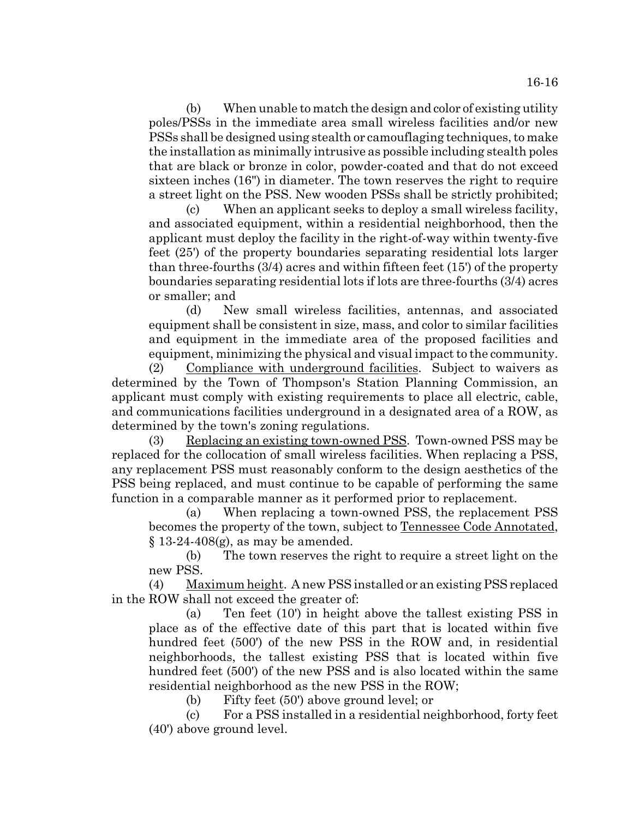(b) When unable to match the design and color of existing utility poles/PSSs in the immediate area small wireless facilities and/or new PSSs shall be designed using stealth or camouflaging techniques, to make the installation as minimally intrusive as possible including stealth poles that are black or bronze in color, powder-coated and that do not exceed sixteen inches (16") in diameter. The town reserves the right to require a street light on the PSS. New wooden PSSs shall be strictly prohibited;

(c) When an applicant seeks to deploy a small wireless facility, and associated equipment, within a residential neighborhood, then the applicant must deploy the facility in the right-of-way within twenty-five feet (25') of the property boundaries separating residential lots larger than three-fourths (3/4) acres and within fifteen feet (15') of the property boundaries separating residential lots if lots are three-fourths (3/4) acres or smaller; and

(d) New small wireless facilities, antennas, and associated equipment shall be consistent in size, mass, and color to similar facilities and equipment in the immediate area of the proposed facilities and equipment, minimizing the physical and visual impact to the community.

(2) Compliance with underground facilities. Subject to waivers as determined by the Town of Thompson's Station Planning Commission, an applicant must comply with existing requirements to place all electric, cable, and communications facilities underground in a designated area of a ROW, as determined by the town's zoning regulations.

(3) Replacing an existing town-owned PSS. Town-owned PSS may be replaced for the collocation of small wireless facilities. When replacing a PSS, any replacement PSS must reasonably conform to the design aesthetics of the PSS being replaced, and must continue to be capable of performing the same function in a comparable manner as it performed prior to replacement.

(a) When replacing a town-owned PSS, the replacement PSS becomes the property of the town, subject to Tennessee Code Annotated,  $§$  13-24-408(g), as may be amended.

(b) The town reserves the right to require a street light on the new PSS.

(4) Maximum height. A new PSS installed or an existing PSS replaced in the ROW shall not exceed the greater of:

(a) Ten feet (10') in height above the tallest existing PSS in place as of the effective date of this part that is located within five hundred feet (500') of the new PSS in the ROW and, in residential neighborhoods, the tallest existing PSS that is located within five hundred feet (500') of the new PSS and is also located within the same residential neighborhood as the new PSS in the ROW;

(b) Fifty feet (50') above ground level; or

(c) For a PSS installed in a residential neighborhood, forty feet (40') above ground level.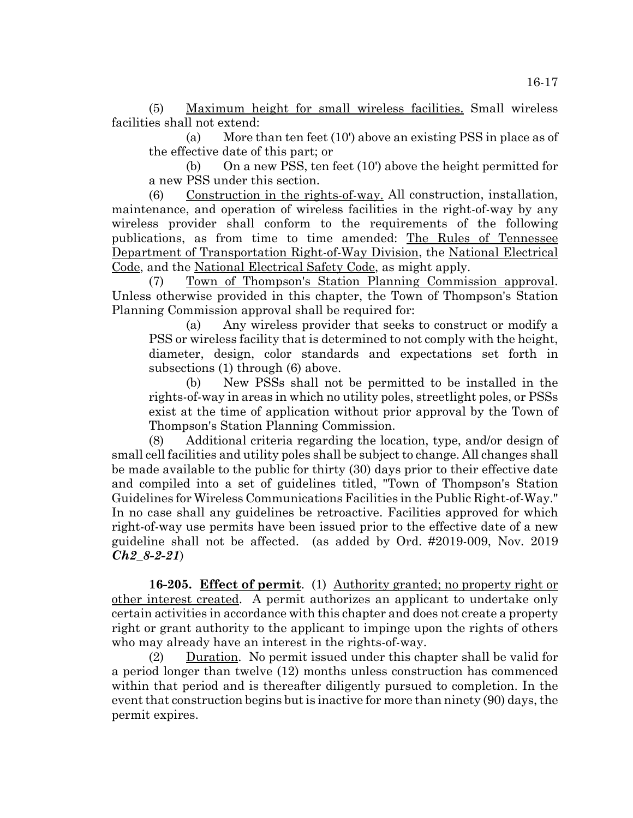(5) Maximum height for small wireless facilities. Small wireless facilities shall not extend:

(a) More than ten feet (10') above an existing PSS in place as of the effective date of this part; or

(b) On a new PSS, ten feet (10') above the height permitted for a new PSS under this section.

(6) Construction in the rights-of-way. All construction, installation, maintenance, and operation of wireless facilities in the right-of-way by any wireless provider shall conform to the requirements of the following publications, as from time to time amended: The Rules of Tennessee Department of Transportation Right-of-Way Division, the National Electrical Code, and the National Electrical Safety Code, as might apply.

(7) Town of Thompson's Station Planning Commission approval. Unless otherwise provided in this chapter, the Town of Thompson's Station Planning Commission approval shall be required for:

(a) Any wireless provider that seeks to construct or modify a PSS or wireless facility that is determined to not comply with the height, diameter, design, color standards and expectations set forth in subsections (1) through (6) above.

(b) New PSSs shall not be permitted to be installed in the rights-of-way in areas in which no utility poles, streetlight poles, or PSSs exist at the time of application without prior approval by the Town of Thompson's Station Planning Commission.

(8) Additional criteria regarding the location, type, and/or design of small cell facilities and utility poles shall be subject to change. All changes shall be made available to the public for thirty (30) days prior to their effective date and compiled into a set of guidelines titled, "Town of Thompson's Station Guidelines for Wireless Communications Facilities in the Public Right-of-Way." In no case shall any guidelines be retroactive. Facilities approved for which right-of-way use permits have been issued prior to the effective date of a new guideline shall not be affected. (as added by Ord. #2019-009, Nov. 2019 *Ch2\_8-2-21*)

**16-205. Effect of permit**. (1) Authority granted; no property right or other interest created. A permit authorizes an applicant to undertake only certain activities in accordance with this chapter and does not create a property right or grant authority to the applicant to impinge upon the rights of others who may already have an interest in the rights-of-way.

(2) Duration. No permit issued under this chapter shall be valid for a period longer than twelve (12) months unless construction has commenced within that period and is thereafter diligently pursued to completion. In the event that construction begins but is inactive for more than ninety (90) days, the permit expires.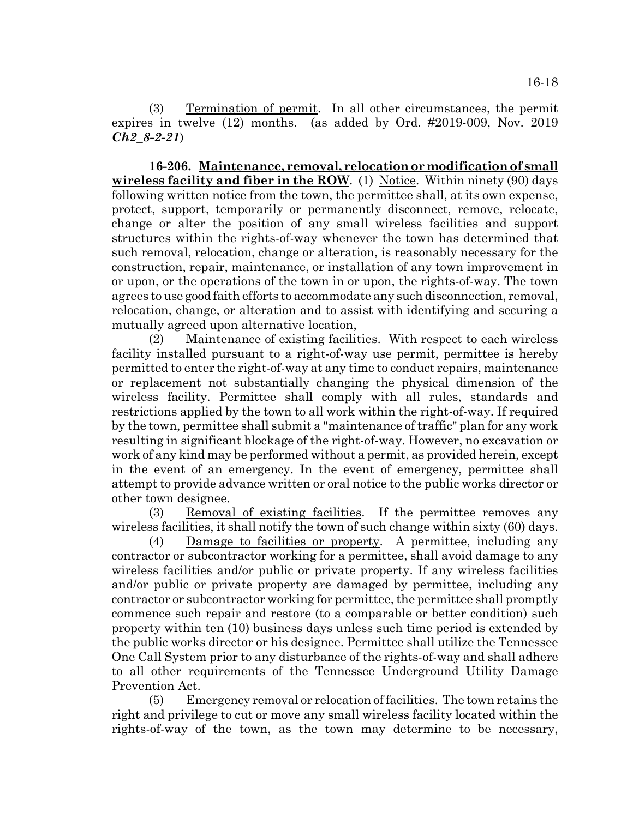(3) Termination of permit. In all other circumstances, the permit expires in twelve (12) months. (as added by Ord. #2019-009, Nov. 2019 *Ch2\_8-2-21*)

**16-206. Maintenance, removal, relocation or modification of small wireless facility and fiber in the ROW.** (1) Notice. Within ninety (90) days following written notice from the town, the permittee shall, at its own expense, protect, support, temporarily or permanently disconnect, remove, relocate, change or alter the position of any small wireless facilities and support structures within the rights-of-way whenever the town has determined that such removal, relocation, change or alteration, is reasonably necessary for the construction, repair, maintenance, or installation of any town improvement in or upon, or the operations of the town in or upon, the rights-of-way. The town agrees to use good faith efforts to accommodate any such disconnection, removal, relocation, change, or alteration and to assist with identifying and securing a mutually agreed upon alternative location,

(2) Maintenance of existing facilities. With respect to each wireless facility installed pursuant to a right-of-way use permit, permittee is hereby permitted to enter the right-of-way at any time to conduct repairs, maintenance or replacement not substantially changing the physical dimension of the wireless facility. Permittee shall comply with all rules, standards and restrictions applied by the town to all work within the right-of-way. If required by the town, permittee shall submit a "maintenance of traffic" plan for any work resulting in significant blockage of the right-of-way. However, no excavation or work of any kind may be performed without a permit, as provided herein, except in the event of an emergency. In the event of emergency, permittee shall attempt to provide advance written or oral notice to the public works director or other town designee.

(3) Removal of existing facilities. If the permittee removes any wireless facilities, it shall notify the town of such change within sixty (60) days.

(4) Damage to facilities or property. A permittee, including any contractor or subcontractor working for a permittee, shall avoid damage to any wireless facilities and/or public or private property. If any wireless facilities and/or public or private property are damaged by permittee, including any contractor or subcontractor working for permittee, the permittee shall promptly commence such repair and restore (to a comparable or better condition) such property within ten (10) business days unless such time period is extended by the public works director or his designee. Permittee shall utilize the Tennessee One Call System prior to any disturbance of the rights-of-way and shall adhere to all other requirements of the Tennessee Underground Utility Damage Prevention Act.

(5) Emergency removal or relocation of facilities. The town retains the right and privilege to cut or move any small wireless facility located within the rights-of-way of the town, as the town may determine to be necessary,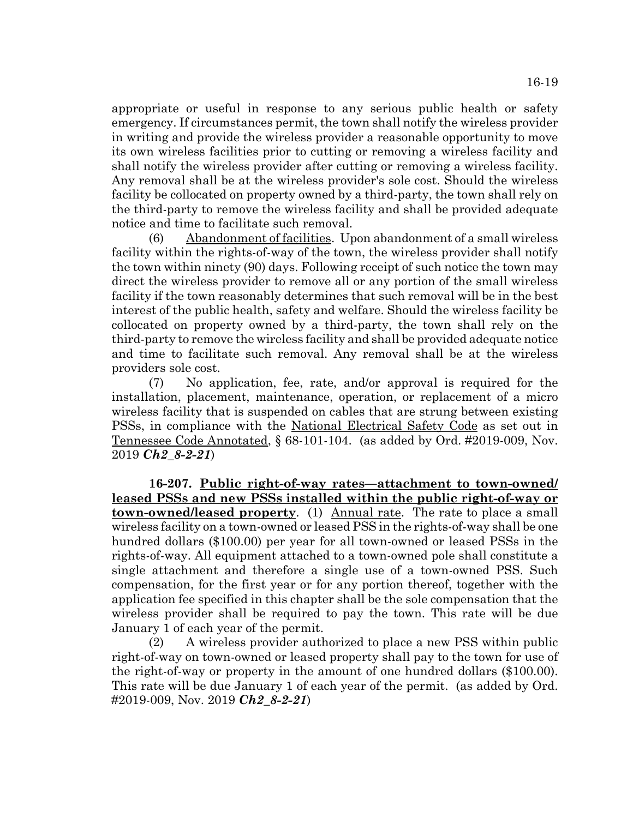appropriate or useful in response to any serious public health or safety emergency. If circumstances permit, the town shall notify the wireless provider in writing and provide the wireless provider a reasonable opportunity to move its own wireless facilities prior to cutting or removing a wireless facility and shall notify the wireless provider after cutting or removing a wireless facility. Any removal shall be at the wireless provider's sole cost. Should the wireless facility be collocated on property owned by a third-party, the town shall rely on the third-party to remove the wireless facility and shall be provided adequate notice and time to facilitate such removal.

(6) Abandonment of facilities. Upon abandonment of a small wireless facility within the rights-of-way of the town, the wireless provider shall notify the town within ninety (90) days. Following receipt of such notice the town may direct the wireless provider to remove all or any portion of the small wireless facility if the town reasonably determines that such removal will be in the best interest of the public health, safety and welfare. Should the wireless facility be collocated on property owned by a third-party, the town shall rely on the third-party to remove the wireless facility and shall be provided adequate notice and time to facilitate such removal. Any removal shall be at the wireless providers sole cost.

(7) No application, fee, rate, and/or approval is required for the installation, placement, maintenance, operation, or replacement of a micro wireless facility that is suspended on cables that are strung between existing PSSs, in compliance with the National Electrical Safety Code as set out in Tennessee Code Annotated, § 68-101-104. (as added by Ord. #2019-009, Nov. 2019 *Ch2\_8-2-21*)

**16-207. Public right-of-way rates—attachment to town-owned/ leased PSSs and new PSSs installed within the public right-of-way or town-owned/leased property**. (1) Annual rate. The rate to place a small wireless facility on a town-owned or leased PSS in the rights-of-way shall be one hundred dollars (\$100.00) per year for all town-owned or leased PSSs in the rights-of-way. All equipment attached to a town-owned pole shall constitute a single attachment and therefore a single use of a town-owned PSS. Such compensation, for the first year or for any portion thereof, together with the application fee specified in this chapter shall be the sole compensation that the wireless provider shall be required to pay the town. This rate will be due January 1 of each year of the permit.

(2) A wireless provider authorized to place a new PSS within public right-of-way on town-owned or leased property shall pay to the town for use of the right-of-way or property in the amount of one hundred dollars (\$100.00). This rate will be due January 1 of each year of the permit. (as added by Ord. #2019-009, Nov. 2019 *Ch2\_8-2-21*)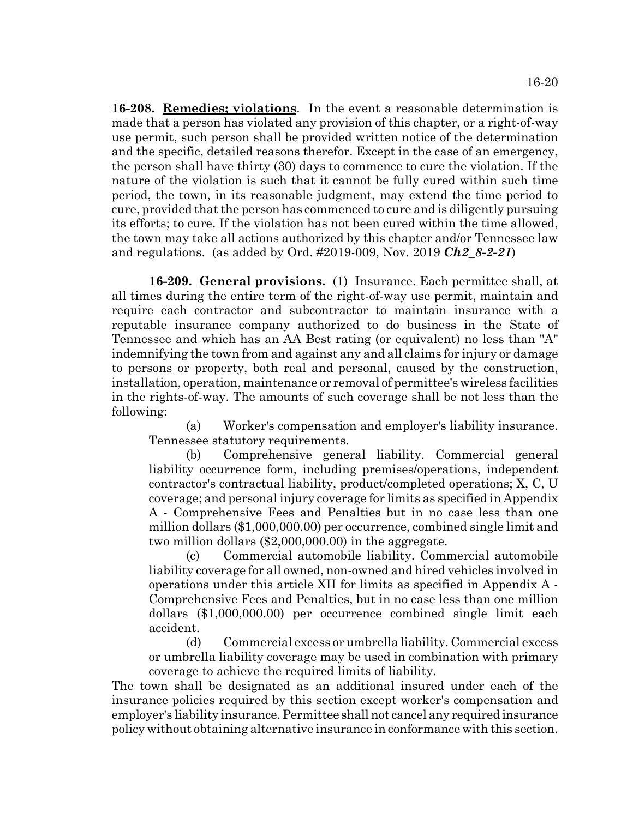**16-208. Remedies; violations**. In the event a reasonable determination is made that a person has violated any provision of this chapter, or a right-of-way use permit, such person shall be provided written notice of the determination and the specific, detailed reasons therefor. Except in the case of an emergency, the person shall have thirty (30) days to commence to cure the violation. If the nature of the violation is such that it cannot be fully cured within such time period, the town, in its reasonable judgment, may extend the time period to cure, provided that the person has commenced to cure and is diligently pursuing its efforts; to cure. If the violation has not been cured within the time allowed, the town may take all actions authorized by this chapter and/or Tennessee law and regulations. (as added by Ord. #2019-009, Nov. 2019 *Ch2\_8-2-21*)

**16-209. General provisions.** (1) Insurance. Each permittee shall, at all times during the entire term of the right-of-way use permit, maintain and require each contractor and subcontractor to maintain insurance with a reputable insurance company authorized to do business in the State of Tennessee and which has an AA Best rating (or equivalent) no less than "A" indemnifying the town from and against any and all claims for injury or damage to persons or property, both real and personal, caused by the construction, installation, operation, maintenance or removal of permittee's wireless facilities in the rights-of-way. The amounts of such coverage shall be not less than the following:

(a) Worker's compensation and employer's liability insurance. Tennessee statutory requirements.

(b) Comprehensive general liability. Commercial general liability occurrence form, including premises/operations, independent contractor's contractual liability, product/completed operations; X, C, U coverage; and personal injury coverage for limits as specified in Appendix A - Comprehensive Fees and Penalties but in no case less than one million dollars (\$1,000,000.00) per occurrence, combined single limit and two million dollars (\$2,000,000.00) in the aggregate.

(c) Commercial automobile liability. Commercial automobile liability coverage for all owned, non-owned and hired vehicles involved in operations under this article XII for limits as specified in Appendix A - Comprehensive Fees and Penalties, but in no case less than one million dollars (\$1,000,000.00) per occurrence combined single limit each accident.

(d) Commercial excess or umbrella liability. Commercial excess or umbrella liability coverage may be used in combination with primary coverage to achieve the required limits of liability.

The town shall be designated as an additional insured under each of the insurance policies required by this section except worker's compensation and employer's liability insurance. Permittee shall not cancel any required insurance policy without obtaining alternative insurance in conformance with this section.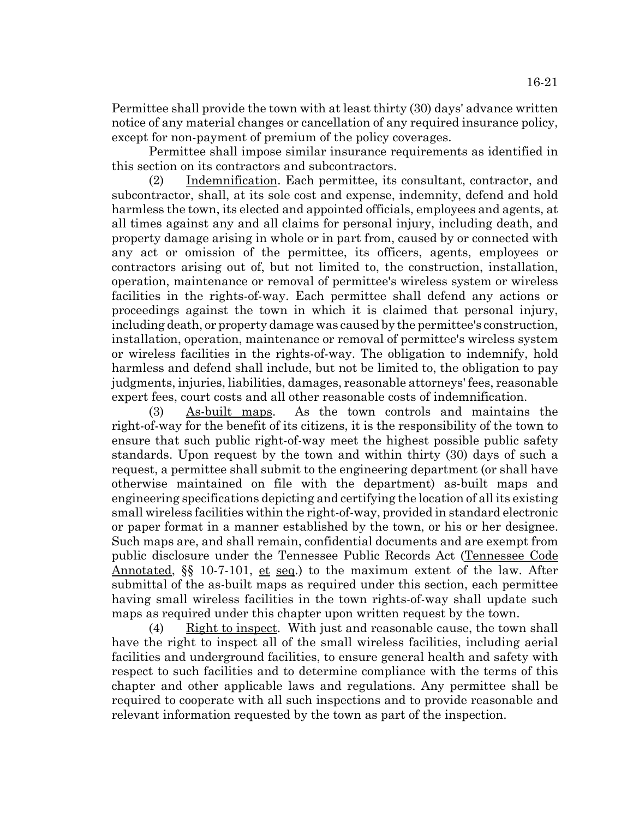Permittee shall provide the town with at least thirty (30) days' advance written notice of any material changes or cancellation of any required insurance policy, except for non-payment of premium of the policy coverages.

Permittee shall impose similar insurance requirements as identified in this section on its contractors and subcontractors.

(2) Indemnification. Each permittee, its consultant, contractor, and subcontractor, shall, at its sole cost and expense, indemnity, defend and hold harmless the town, its elected and appointed officials, employees and agents, at all times against any and all claims for personal injury, including death, and property damage arising in whole or in part from, caused by or connected with any act or omission of the permittee, its officers, agents, employees or contractors arising out of, but not limited to, the construction, installation, operation, maintenance or removal of permittee's wireless system or wireless facilities in the rights-of-way. Each permittee shall defend any actions or proceedings against the town in which it is claimed that personal injury, including death, or property damage was caused by the permittee's construction, installation, operation, maintenance or removal of permittee's wireless system or wireless facilities in the rights-of-way. The obligation to indemnify, hold harmless and defend shall include, but not be limited to, the obligation to pay judgments, injuries, liabilities, damages, reasonable attorneys' fees, reasonable expert fees, court costs and all other reasonable costs of indemnification.

(3) As-built maps. As the town controls and maintains the right-of-way for the benefit of its citizens, it is the responsibility of the town to ensure that such public right-of-way meet the highest possible public safety standards. Upon request by the town and within thirty (30) days of such a request, a permittee shall submit to the engineering department (or shall have otherwise maintained on file with the department) as-built maps and engineering specifications depicting and certifying the location of all its existing small wireless facilities within the right-of-way, provided in standard electronic or paper format in a manner established by the town, or his or her designee. Such maps are, and shall remain, confidential documents and are exempt from public disclosure under the Tennessee Public Records Act (Tennessee Code Annotated, §§ 10-7-101, et seq.) to the maximum extent of the law. After submittal of the as-built maps as required under this section, each permittee having small wireless facilities in the town rights-of-way shall update such maps as required under this chapter upon written request by the town.

(4) Right to inspect. With just and reasonable cause, the town shall have the right to inspect all of the small wireless facilities, including aerial facilities and underground facilities, to ensure general health and safety with respect to such facilities and to determine compliance with the terms of this chapter and other applicable laws and regulations. Any permittee shall be required to cooperate with all such inspections and to provide reasonable and relevant information requested by the town as part of the inspection.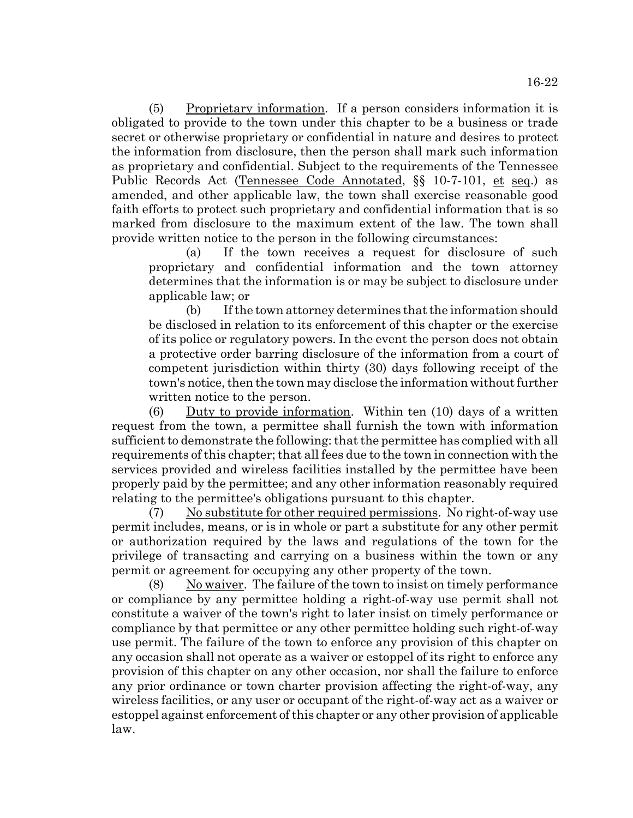(5) Proprietary information. If a person considers information it is obligated to provide to the town under this chapter to be a business or trade secret or otherwise proprietary or confidential in nature and desires to protect the information from disclosure, then the person shall mark such information as proprietary and confidential. Subject to the requirements of the Tennessee Public Records Act (Tennessee Code Annotated, §§ 10-7-101, et seq.) as amended, and other applicable law, the town shall exercise reasonable good faith efforts to protect such proprietary and confidential information that is so marked from disclosure to the maximum extent of the law. The town shall provide written notice to the person in the following circumstances:

(a) If the town receives a request for disclosure of such proprietary and confidential information and the town attorney determines that the information is or may be subject to disclosure under applicable law; or

(b) If the town attorney determines that the information should be disclosed in relation to its enforcement of this chapter or the exercise of its police or regulatory powers. In the event the person does not obtain a protective order barring disclosure of the information from a court of competent jurisdiction within thirty (30) days following receipt of the town's notice, then the town may disclose the information without further written notice to the person.

(6) Duty to provide information. Within ten (10) days of a written request from the town, a permittee shall furnish the town with information sufficient to demonstrate the following: that the permittee has complied with all requirements of this chapter; that all fees due to the town in connection with the services provided and wireless facilities installed by the permittee have been properly paid by the permittee; and any other information reasonably required relating to the permittee's obligations pursuant to this chapter.

(7) No substitute for other required permissions. No right-of-way use permit includes, means, or is in whole or part a substitute for any other permit or authorization required by the laws and regulations of the town for the privilege of transacting and carrying on a business within the town or any permit or agreement for occupying any other property of the town.

 $(8)$  No waiver. The failure of the town to insist on timely performance or compliance by any permittee holding a right-of-way use permit shall not constitute a waiver of the town's right to later insist on timely performance or compliance by that permittee or any other permittee holding such right-of-way use permit. The failure of the town to enforce any provision of this chapter on any occasion shall not operate as a waiver or estoppel of its right to enforce any provision of this chapter on any other occasion, nor shall the failure to enforce any prior ordinance or town charter provision affecting the right-of-way, any wireless facilities, or any user or occupant of the right-of-way act as a waiver or estoppel against enforcement of this chapter or any other provision of applicable law.